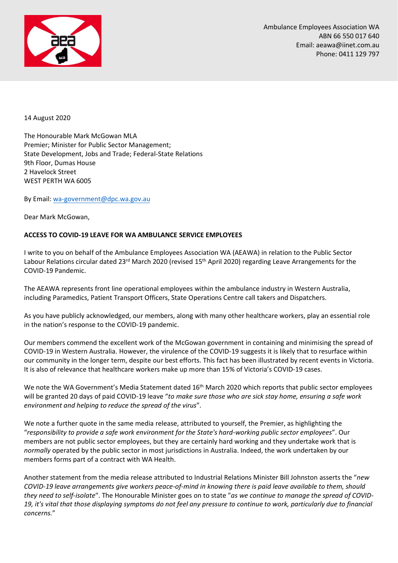

14 August 2020

The Honourable Mark McGowan MLA Premier; Minister for Public Sector Management; State Development, Jobs and Trade; Federal-State Relations 9th Floor, Dumas House 2 Havelock Street WEST PERTH WA 6005

By Email: [wa-government@dpc.wa.gov.au](mailto:wa-government@dpc.wa.gov.au)

Dear Mark McGowan,

## **ACCESS TO COVID-19 LEAVE FOR WA AMBULANCE SERVICE EMPLOYEES**

I write to you on behalf of the Ambulance Employees Association WA (AEAWA) in relation to the Public Sector Labour Relations circular dated 23rd March 2020 (revised 15<sup>th</sup> April 2020) regarding Leave Arrangements for the COVID-19 Pandemic.

The AEAWA represents front line operational employees within the ambulance industry in Western Australia, including Paramedics, Patient Transport Officers, State Operations Centre call takers and Dispatchers.

As you have publicly acknowledged, our members, along with many other healthcare workers, play an essential role in the nation's response to the COVID-19 pandemic.

Our members commend the excellent work of the McGowan government in containing and minimising the spread of COVID-19 in Western Australia. However, the virulence of the COVID-19 suggests it is likely that to resurface within our community in the longer term, despite our best efforts. This fact has been illustrated by recent events in Victoria. It is also of relevance that healthcare workers make up more than 15% of Victoria's COVID-19 cases.

We note the WA Government's Media Statement dated 16<sup>th</sup> March 2020 which reports that public sector employees will be granted 20 days of paid COVID-19 leave "*to make sure those who are sick stay home, ensuring a safe work environment and helping to reduce the spread of the virus*".

We note a further quote in the same media release, attributed to yourself, the Premier, as highlighting the "*responsibility to provide a safe work environment for the State's hard-working public sector employees*". Our members are not public sector employees, but they are certainly hard working and they undertake work that is *normally* operated by the public sector in most jurisdictions in Australia. Indeed, the work undertaken by our members forms part of a contract with WA Health.

Another statement from the media release attributed to Industrial Relations Minister Bill Johnston asserts the "*new COVID-19 leave arrangements give workers peace-of-mind in knowing there is paid leave available to them, should they need to self-isolate*". The Honourable Minister goes on to state "*as we continue to manage the spread of COVID-19, it's vital that those displaying symptoms do not feel any pressure to continue to work, particularly due to financial concerns.*"